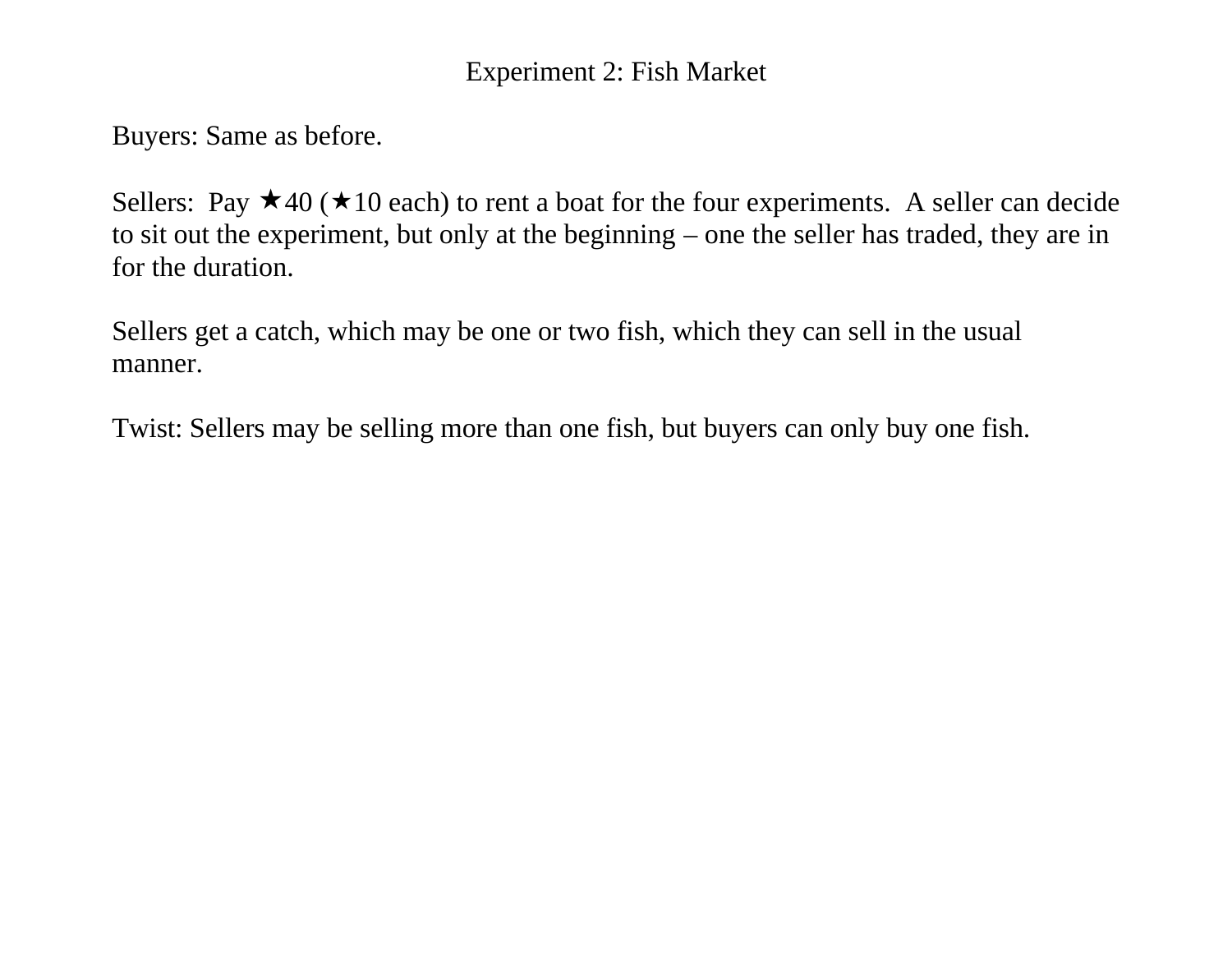### Experiment 2: Fish Market

Buyers: Same as before.

Sellers: Pay  $\star$  40 ( $\star$  10 each) to rent a boat for the four experiments. A seller can decide to sit out the experiment, but only at the beginning – one the seller has traded, they are in for the duration.

Sellers get a catch, which may be one or two fish, which they can sell in the usual manner.

Twist: Sellers may be selling more than one fish, but buyers can only buy one fish.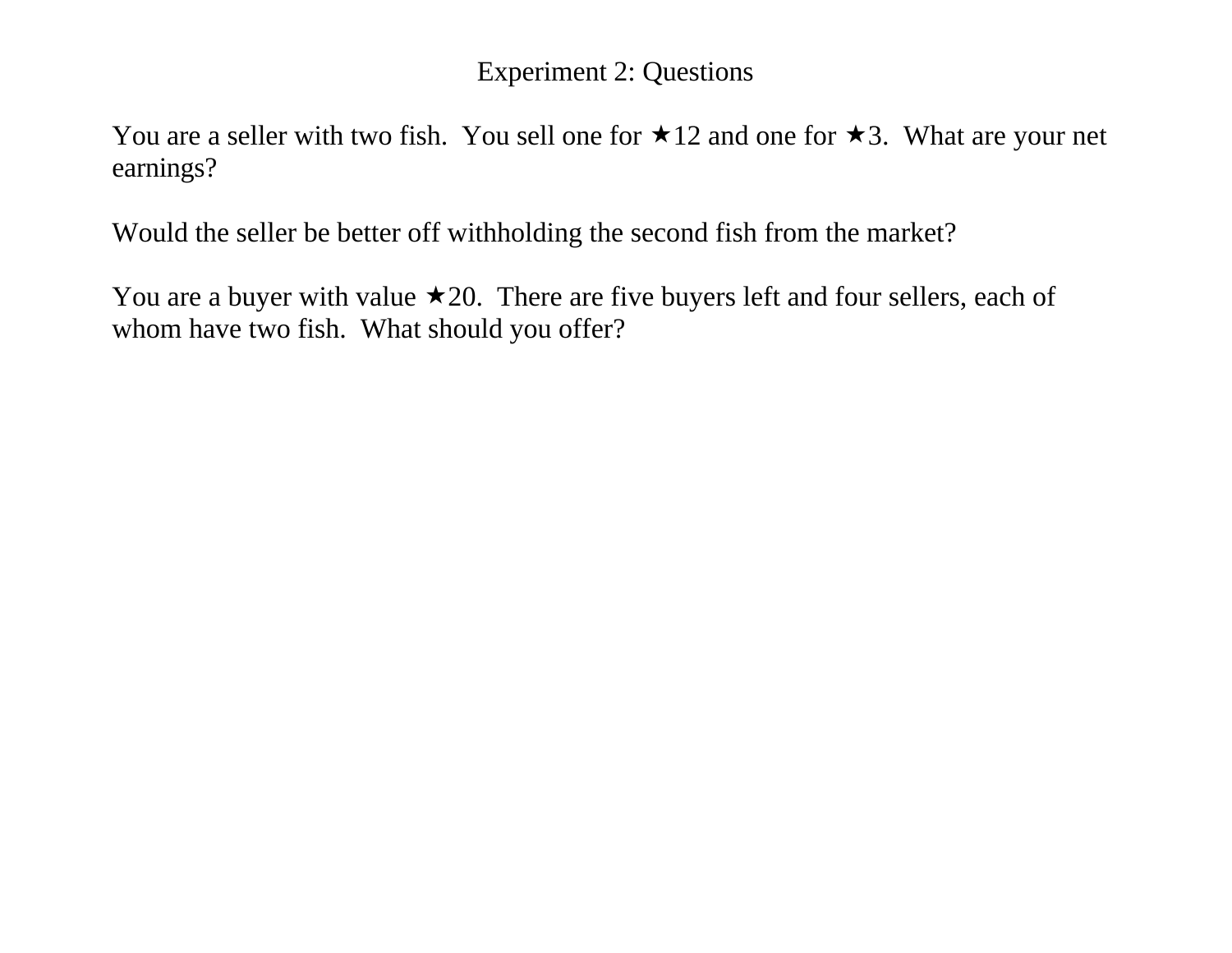#### Experiment 2: Questions

You are a seller with two fish. You sell one for  $\star$ 12 and one for  $\star$ 3. What are your net earnings?

Would the seller be better off withholding the second fish from the market?

You are a buyer with value  $\star$  20. There are five buyers left and four sellers, each of whom have two fish. What should you offer?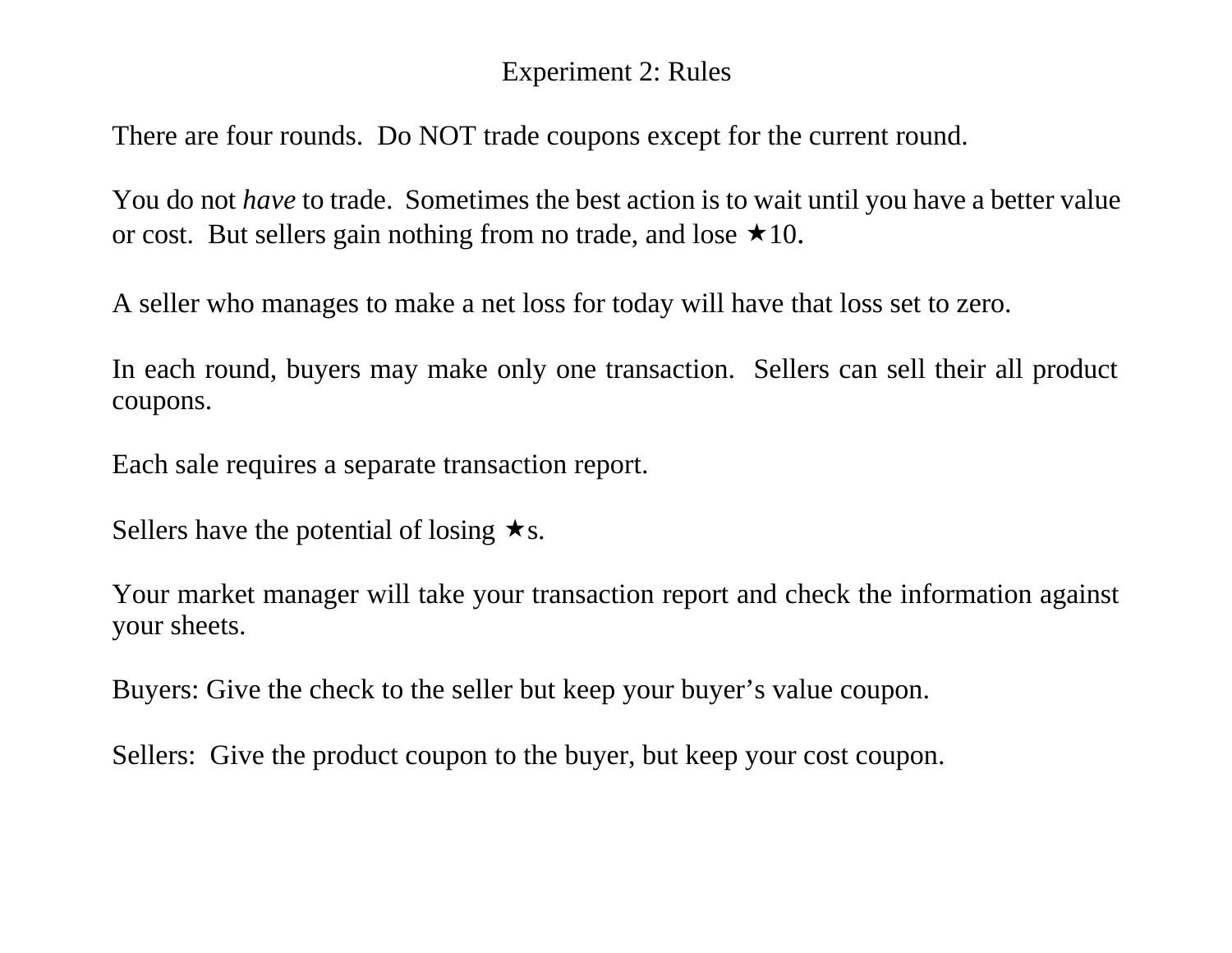### Experiment 2: Rules

There are four rounds. Do NOT trade coupons except for the current round.

You do not *have* to trade. Sometimes the best action is to wait until you have a better value or cost. But sellers gain nothing from no trade, and lose  $\star 10$ .

A seller who manages to make a net loss for today will have that loss set to zero.

In each round, buyers may make only one transaction. Sellers can sell their all product coupons.

Each sale requires a separate transaction report.

Sellers have the potential of losing  $\star$ s.

Your market manager will take your transaction report and check the information against your sheets.

Buyers: Give the check to the seller but keep your buyer's value coupon.

Sellers: Give the product coupon to the buyer, but keep your cost coupon.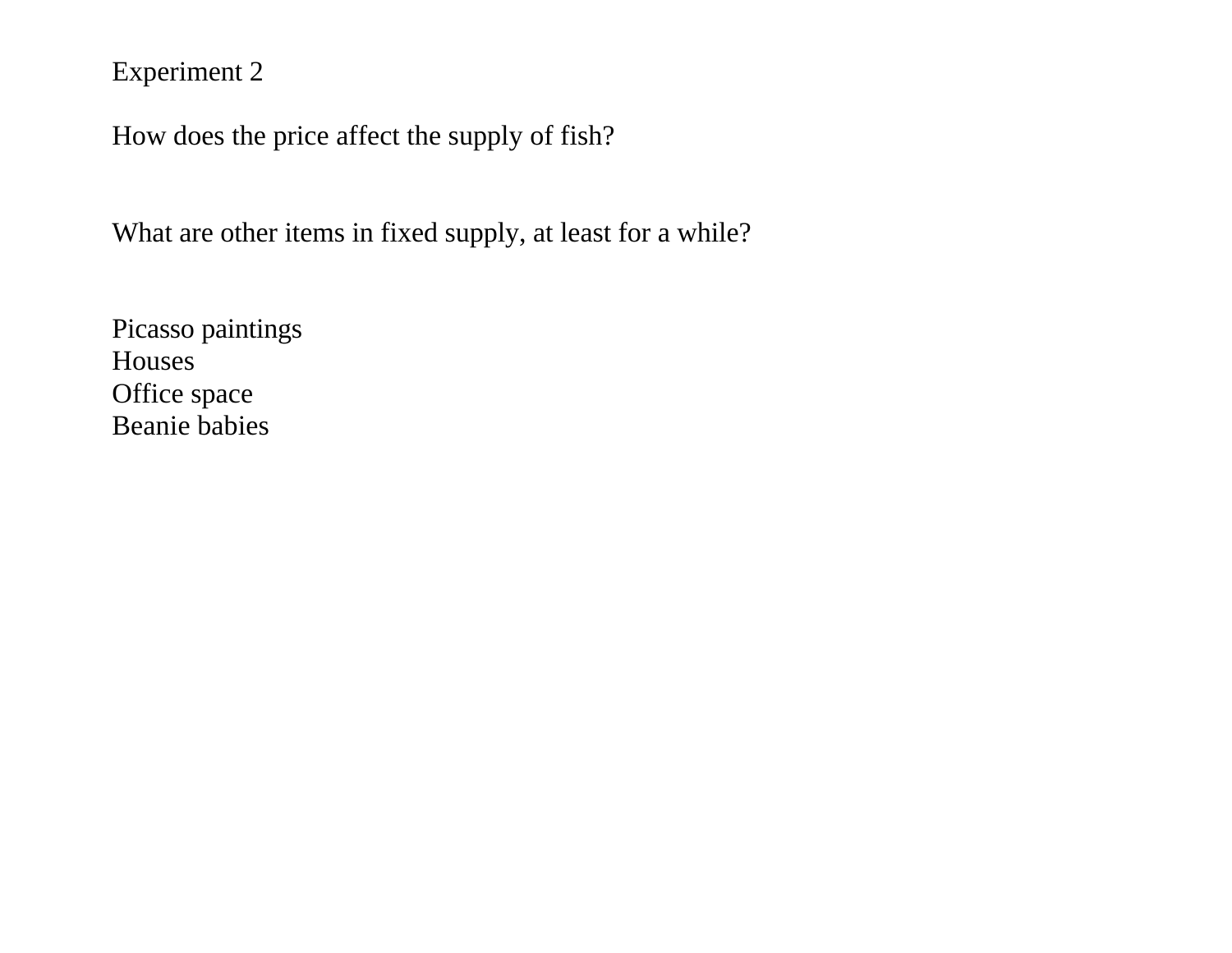Experiment 2

How does the price affect the supply of fish?

What are other items in fixed supply, at least for a while?

Picasso paintings Houses Office space Beanie babies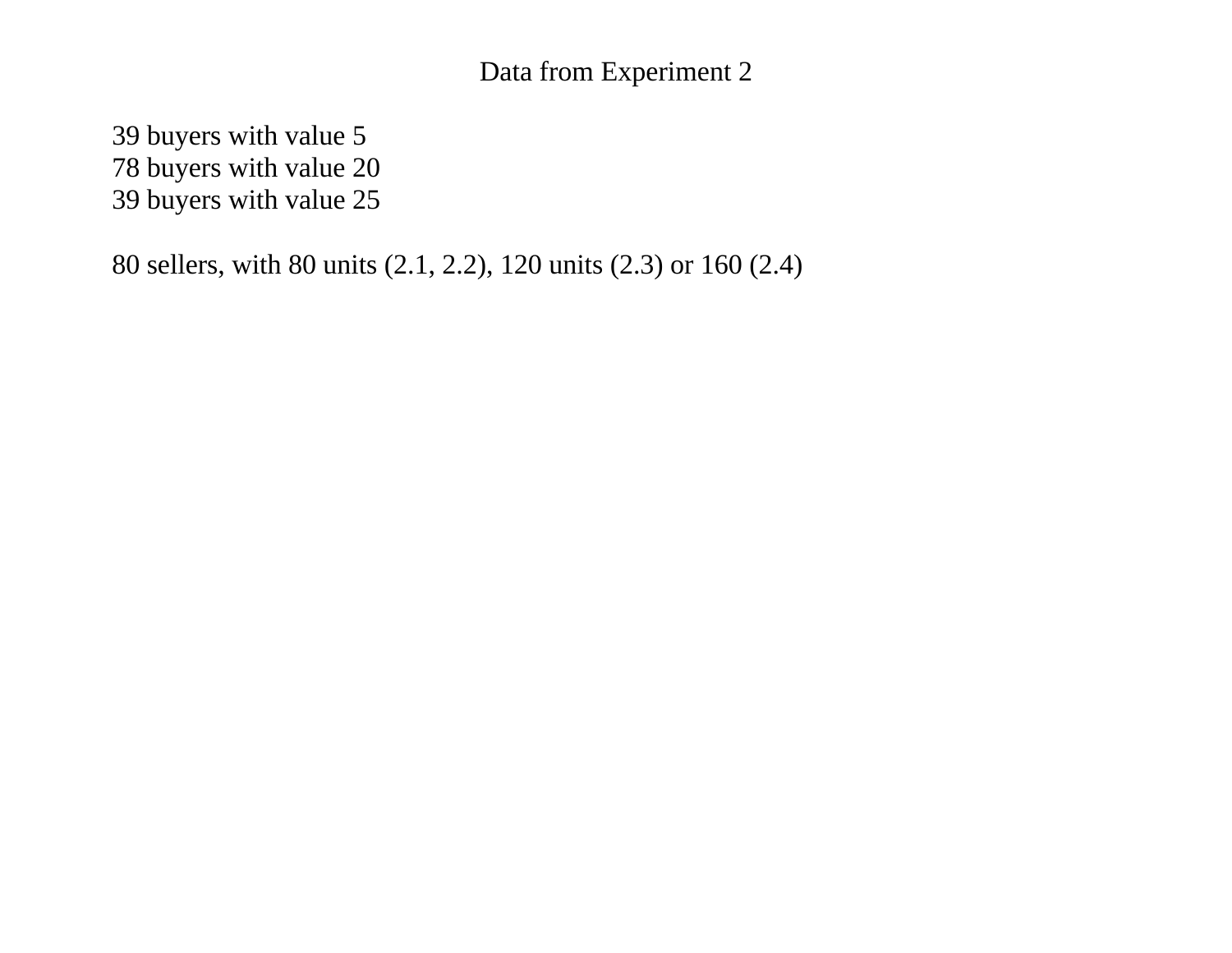### Data from Experiment 2

39 buyers with value 5 78 buyers with value 20 39 buyers with value 25

80 sellers, with 80 units (2.1, 2.2), 120 units (2.3) or 160 (2.4)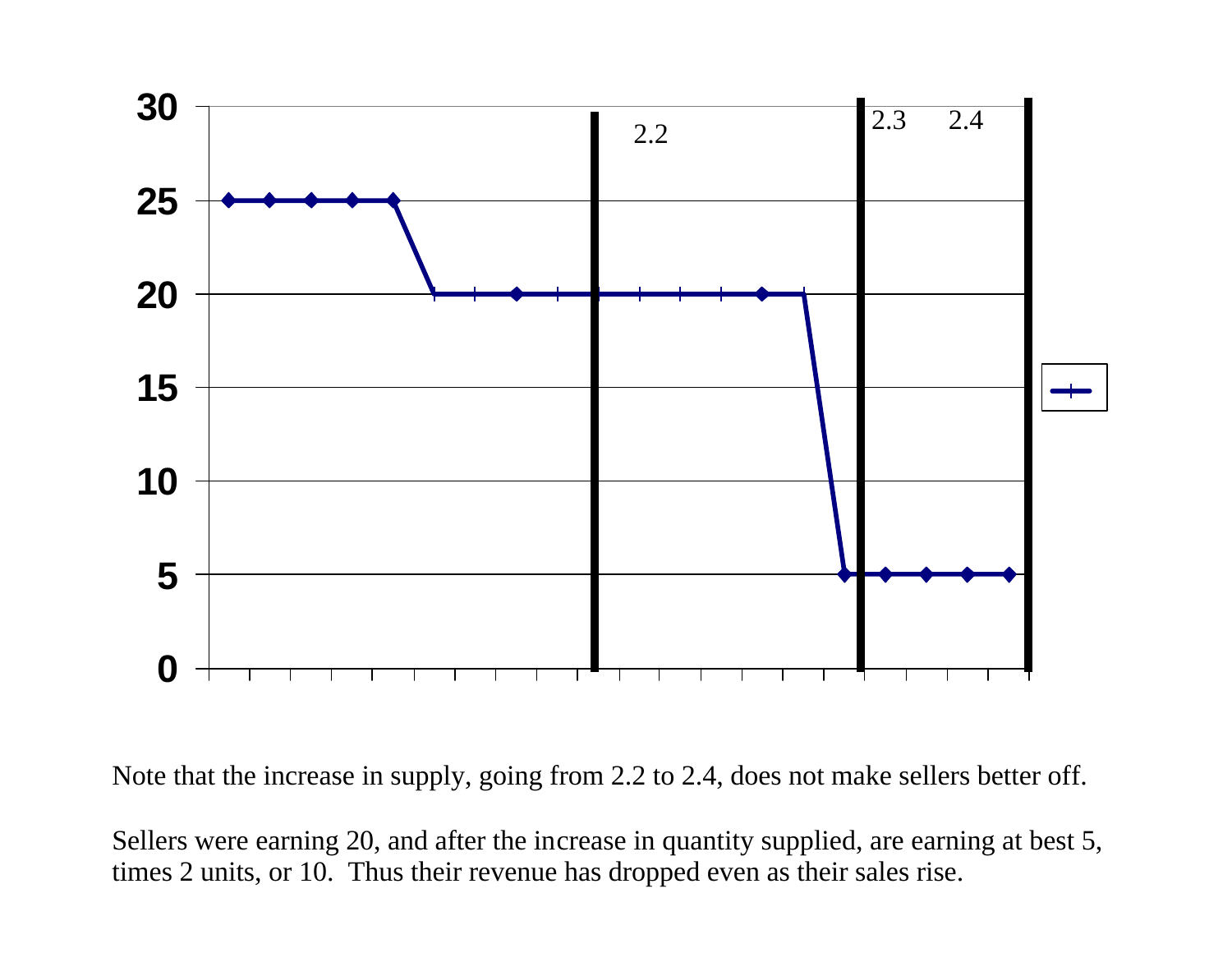

Note that the increase in supply, going from 2.2 to 2.4, does not make sellers better off.

Sellers were earning 20, and after the increase in quantity supplied, are earning at best 5, times 2 units, or 10. Thus their revenue has dropped even as their sales rise.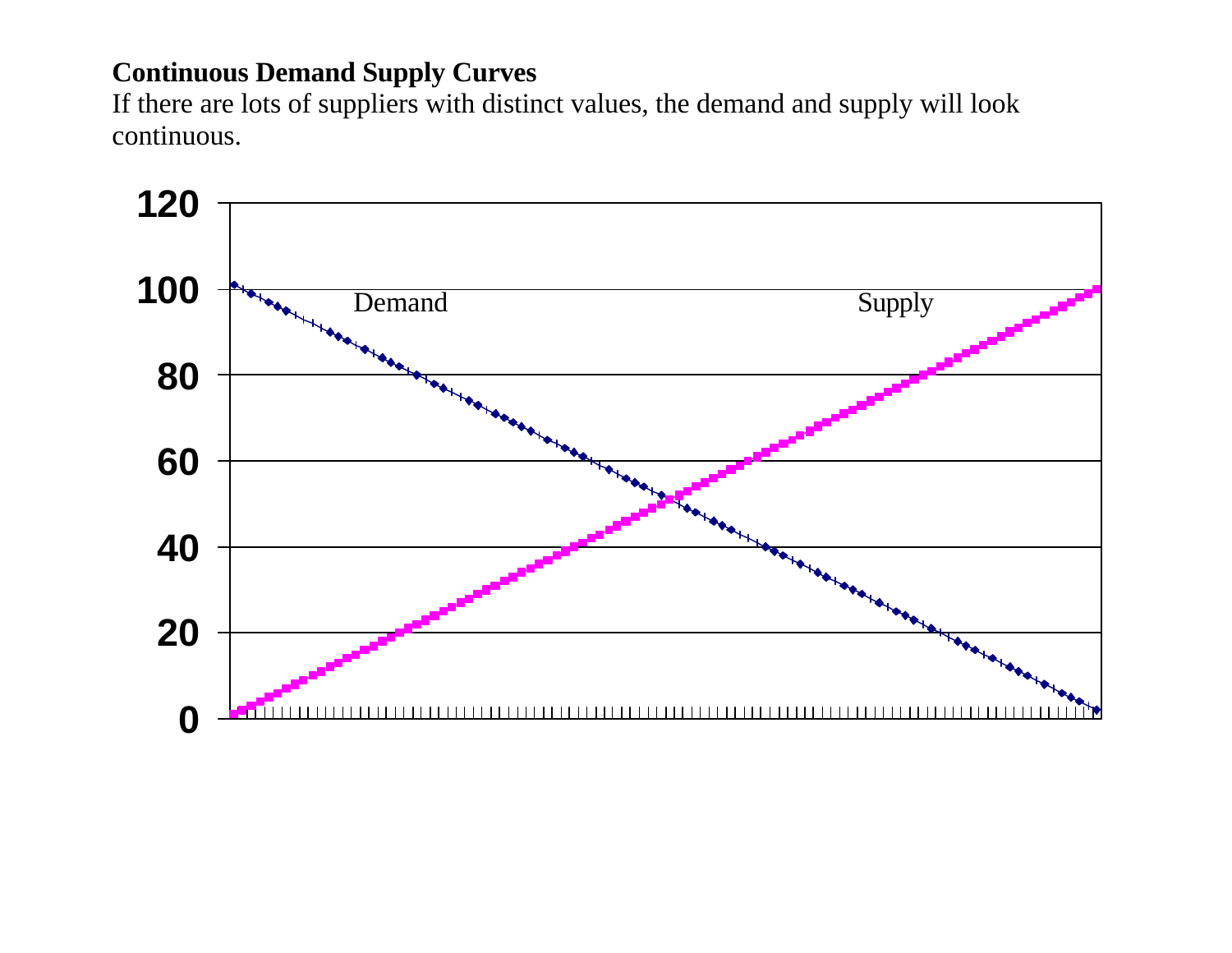## **Continuous Demand Supply Curves**

If there are lots of suppliers with distinct values, the demand and supply will look continuous.

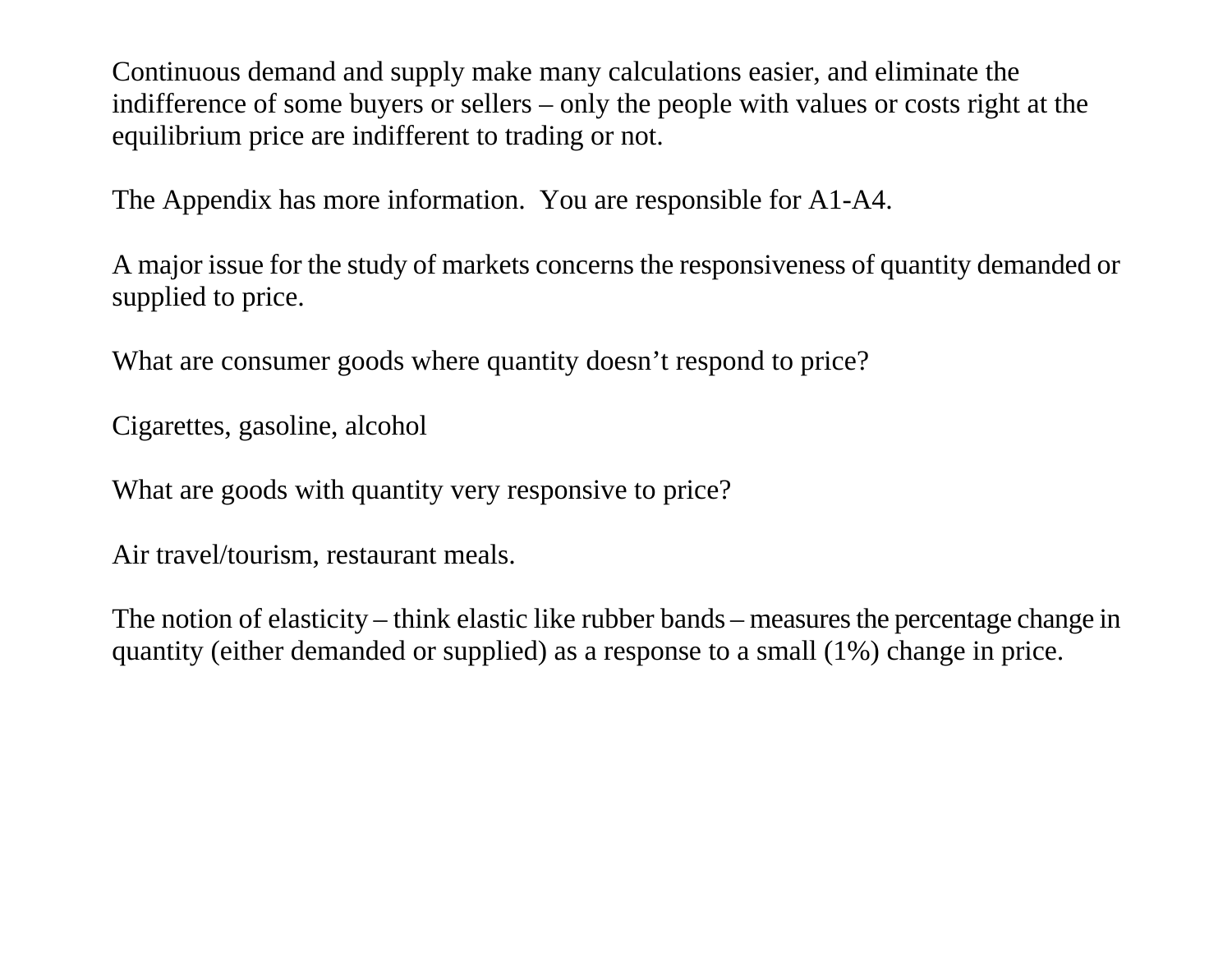Continuous demand and supply make many calculations easier, and eliminate the indifference of some buyers or sellers – only the people with values or costs right at the equilibrium price are indifferent to trading or not.

The Appendix has more information. You are responsible for A1-A4.

A major issue for the study of markets concerns the responsiveness of quantity demanded or supplied to price.

What are consumer goods where quantity doesn't respond to price?

Cigarettes, gasoline, alcohol

What are goods with quantity very responsive to price?

Air travel/tourism, restaurant meals.

The notion of elasticity – think elastic like rubber bands – measures the percentage change in quantity (either demanded or supplied) as a response to a small (1%) change in price.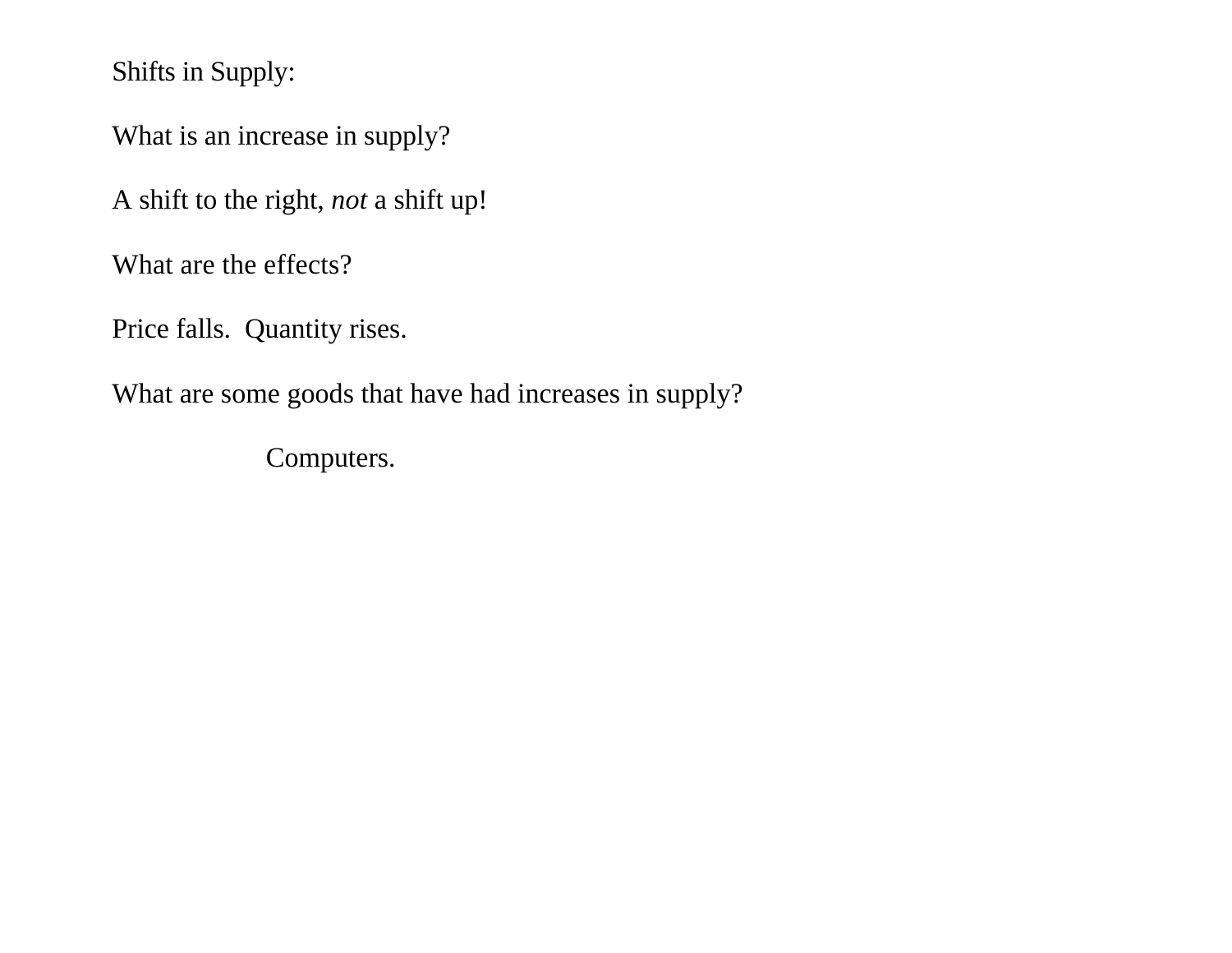Shifts in Supply:

What is an increase in supply?

A shift to the right, *not* a shift up!

What are the effects?

Price falls. Quantity rises.

What are some goods that have had increases in supply?

Computers.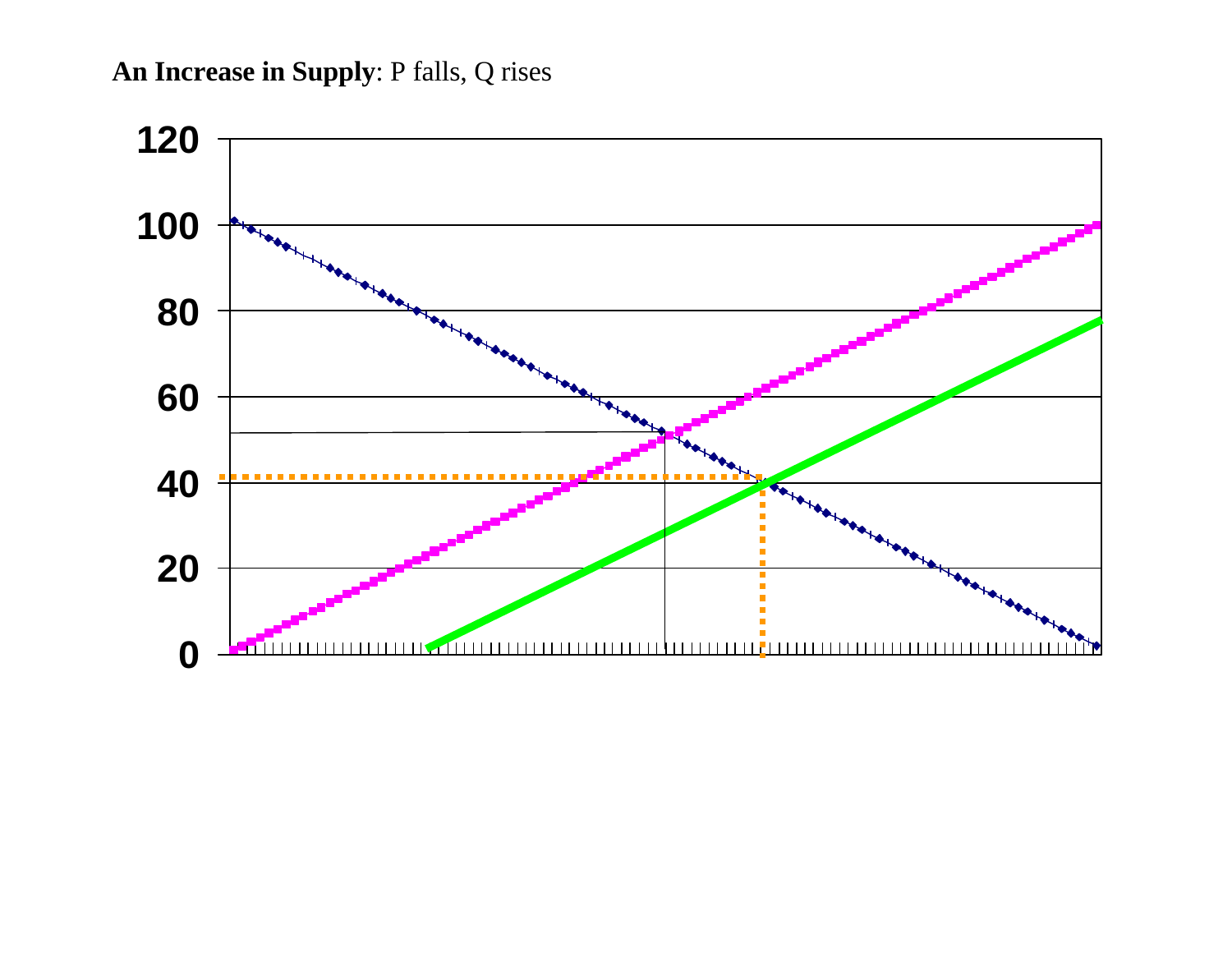**An Increase in Supply**: P falls, Q rises

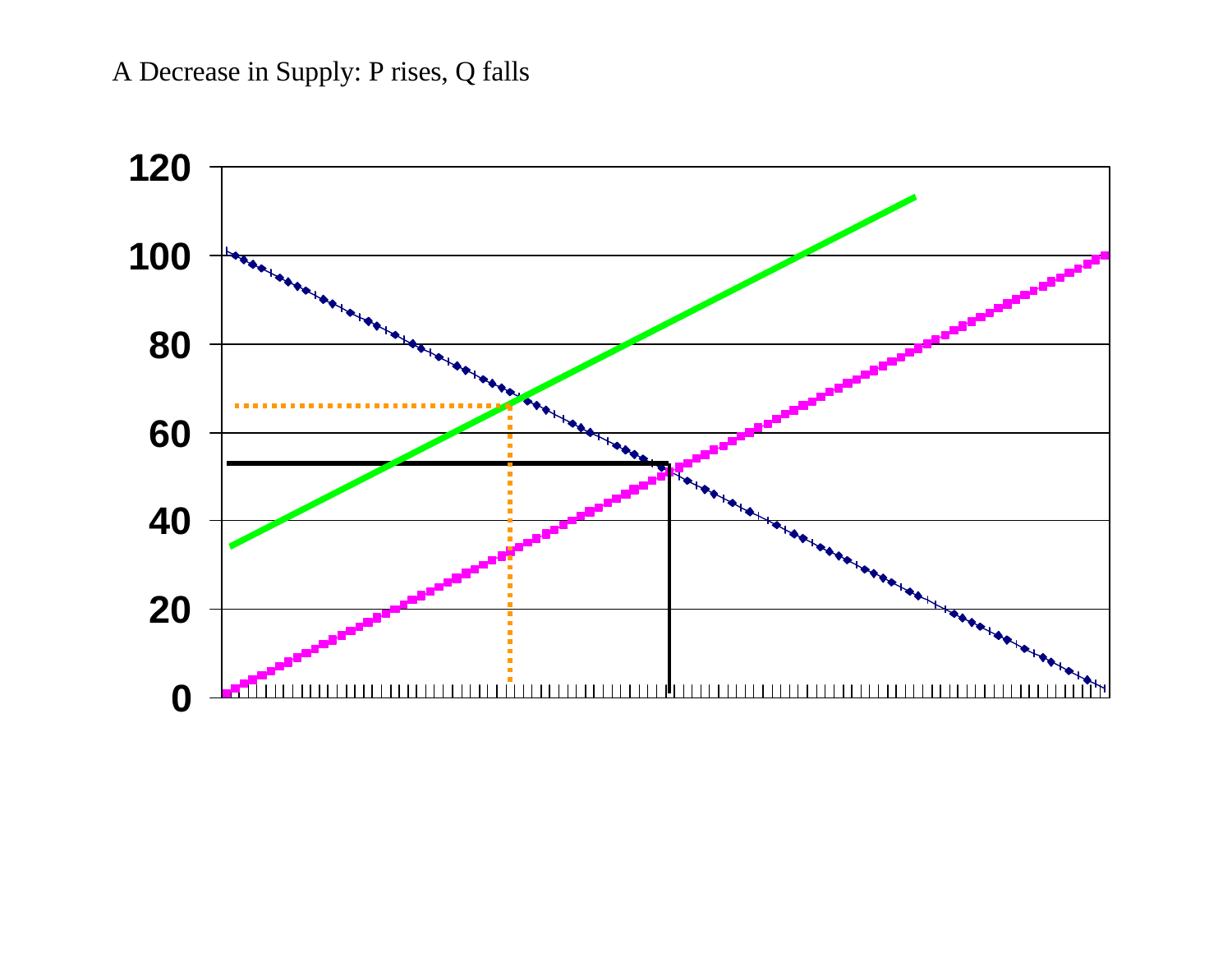# A Decrease in Supply: P rises, Q falls

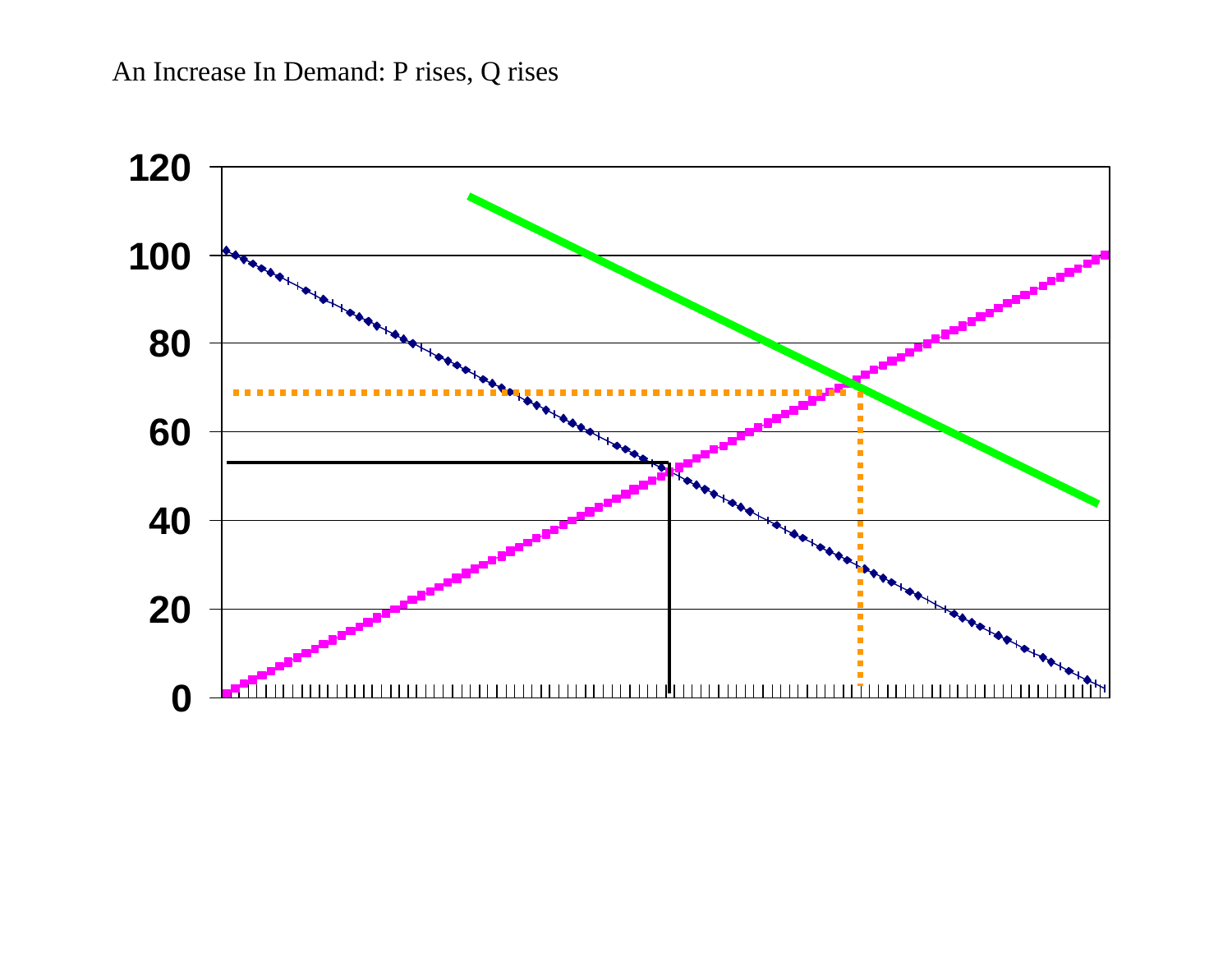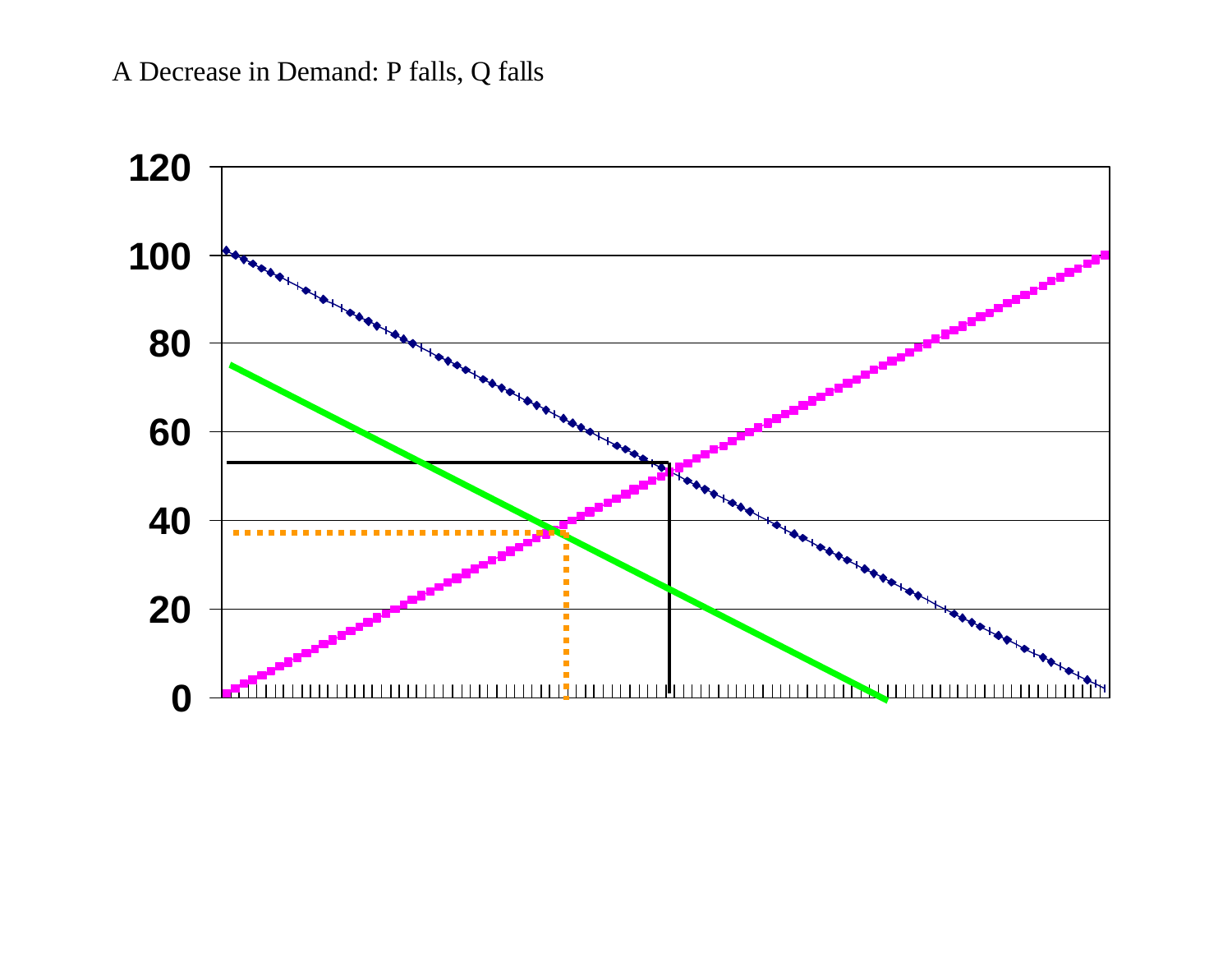## A Decrease in Demand: P falls, Q falls

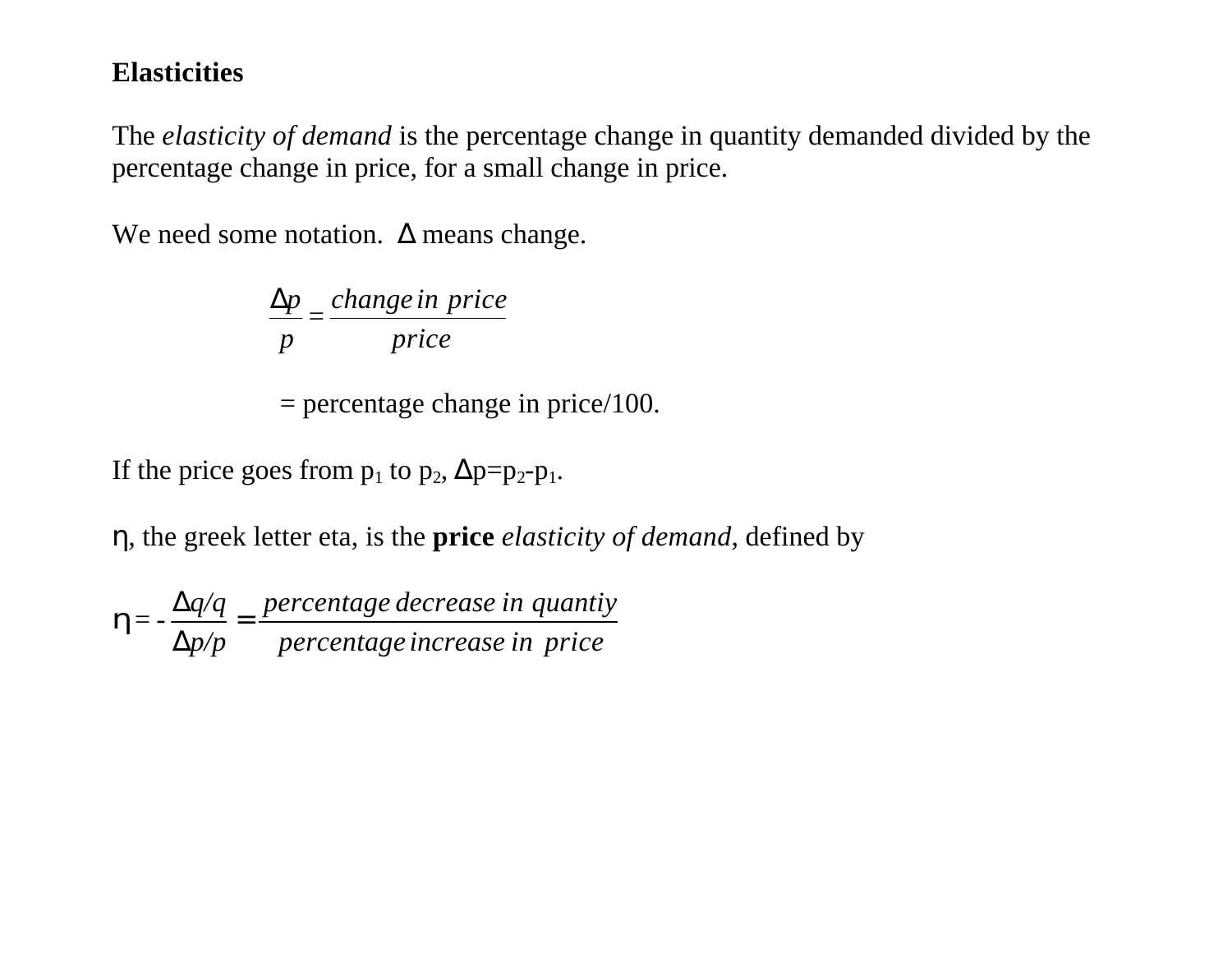### **Elasticities**

The *elasticity of demand* is the percentage change in quantity demanded divided by the percentage change in price, for a small change in price.

We need some notation.  $\Delta$  means change.

*price change in price = p* Δ*p*

 $=$  percentage change in price/100.

If the price goes from  $p_1$  to  $p_2$ ,  $\Delta p = p_2 - p_1$ .

η, the greek letter eta, is the **price** *elasticity of demand*, defined by

*percentage increase in price percentage decrease in quantiy p/p q/q*  $=-\frac{\Delta q}{q}$  = Δ  $\Delta$ *h*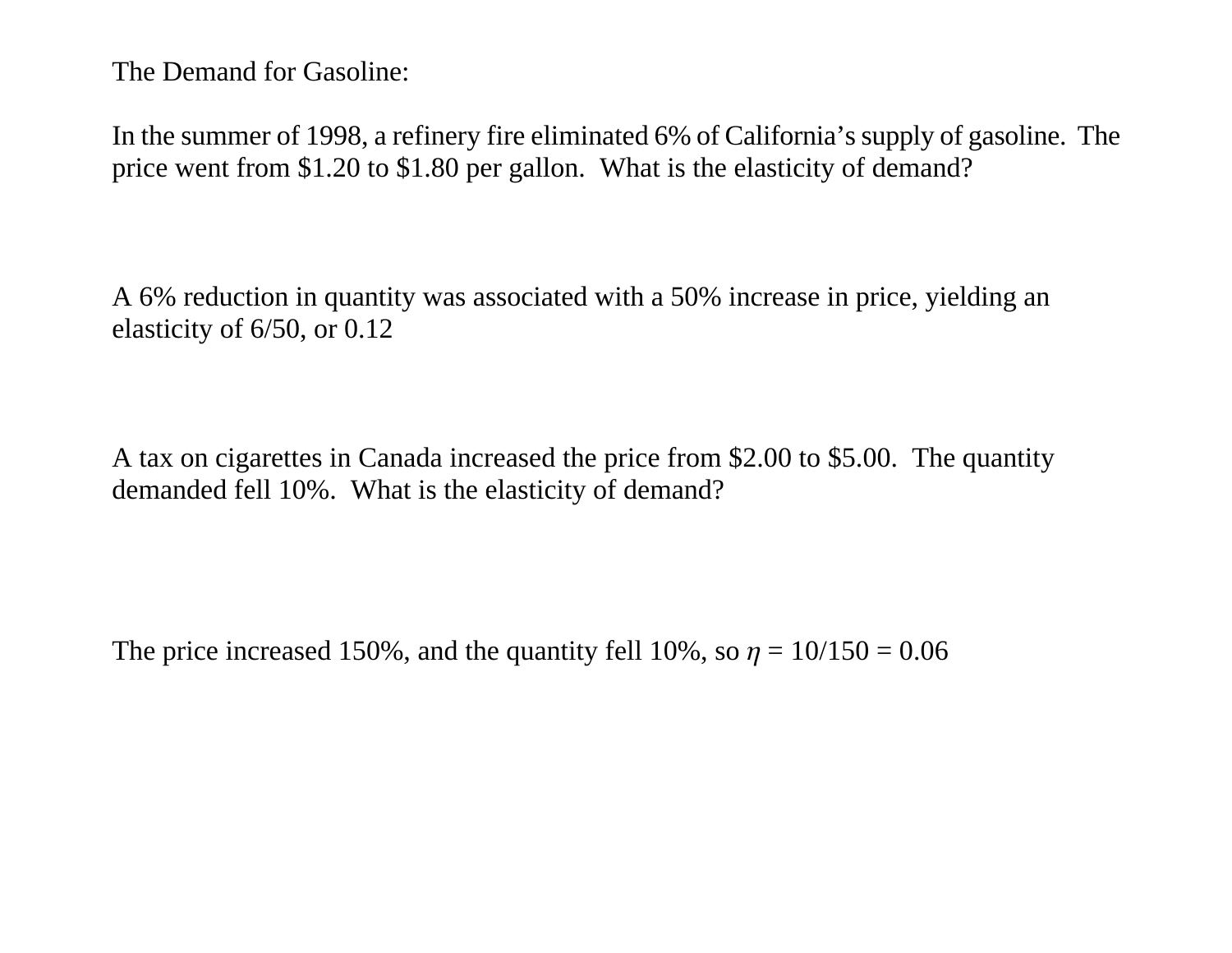The Demand for Gasoline:

In the summer of 1998, a refinery fire eliminated 6% of California's supply of gasoline. The price went from \$1.20 to \$1.80 per gallon. What is the elasticity of demand?

A 6% reduction in quantity was associated with a 50% increase in price, yielding an elasticity of 6/50, or 0.12

A tax on cigarettes in Canada increased the price from \$2.00 to \$5.00. The quantity demanded fell 10%. What is the elasticity of demand?

The price increased 150%, and the quantity fell 10%, so  $\eta = 10/150 = 0.06$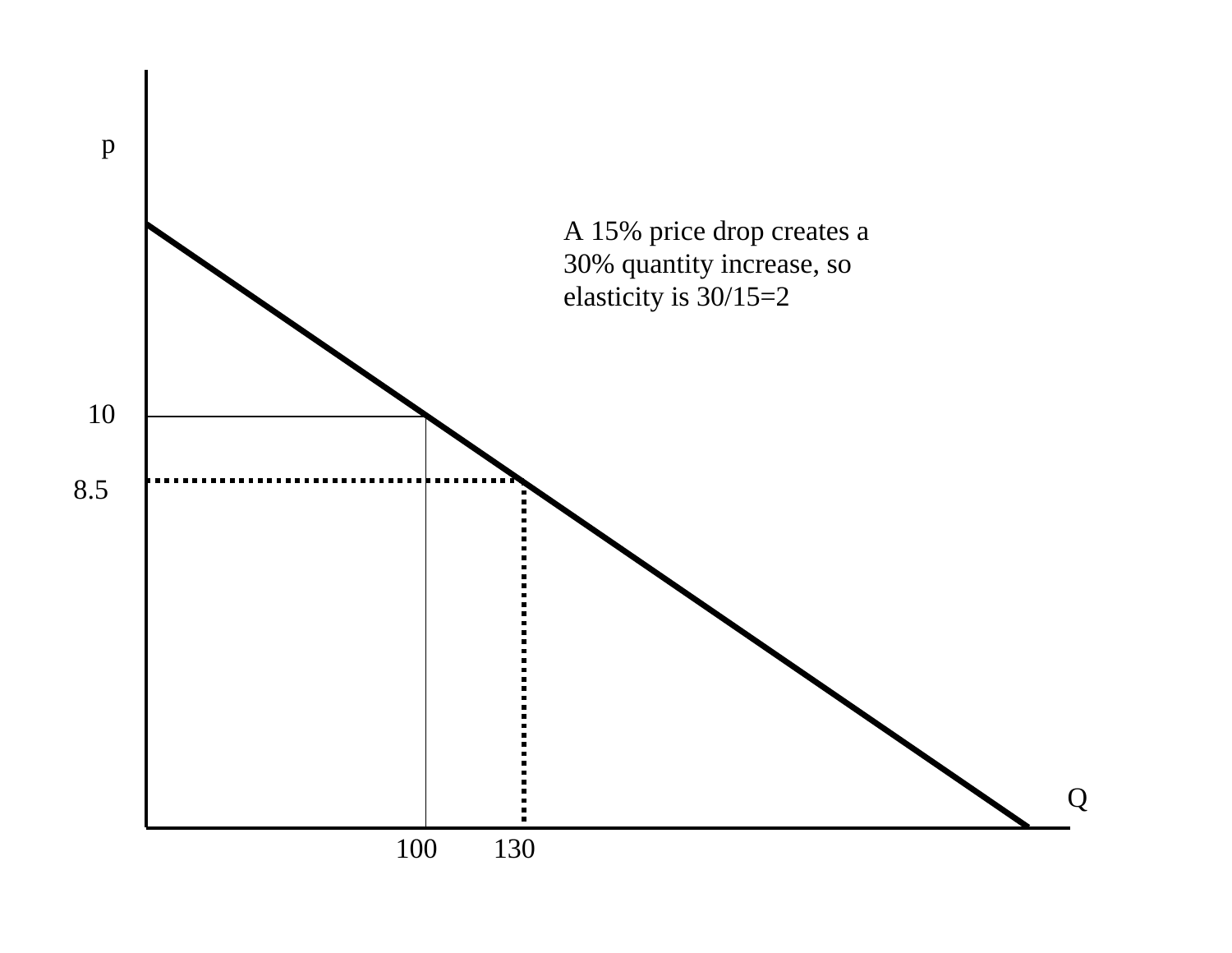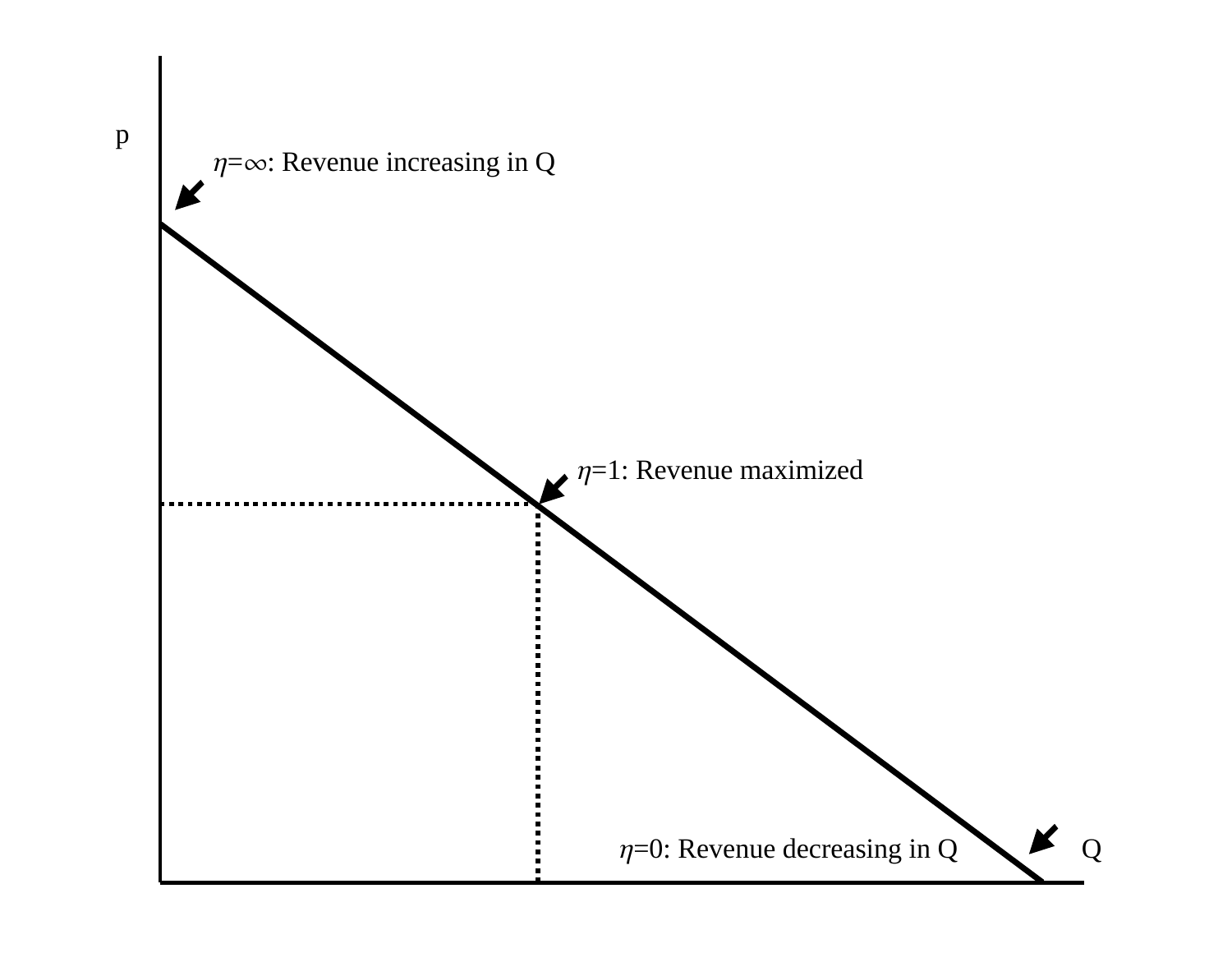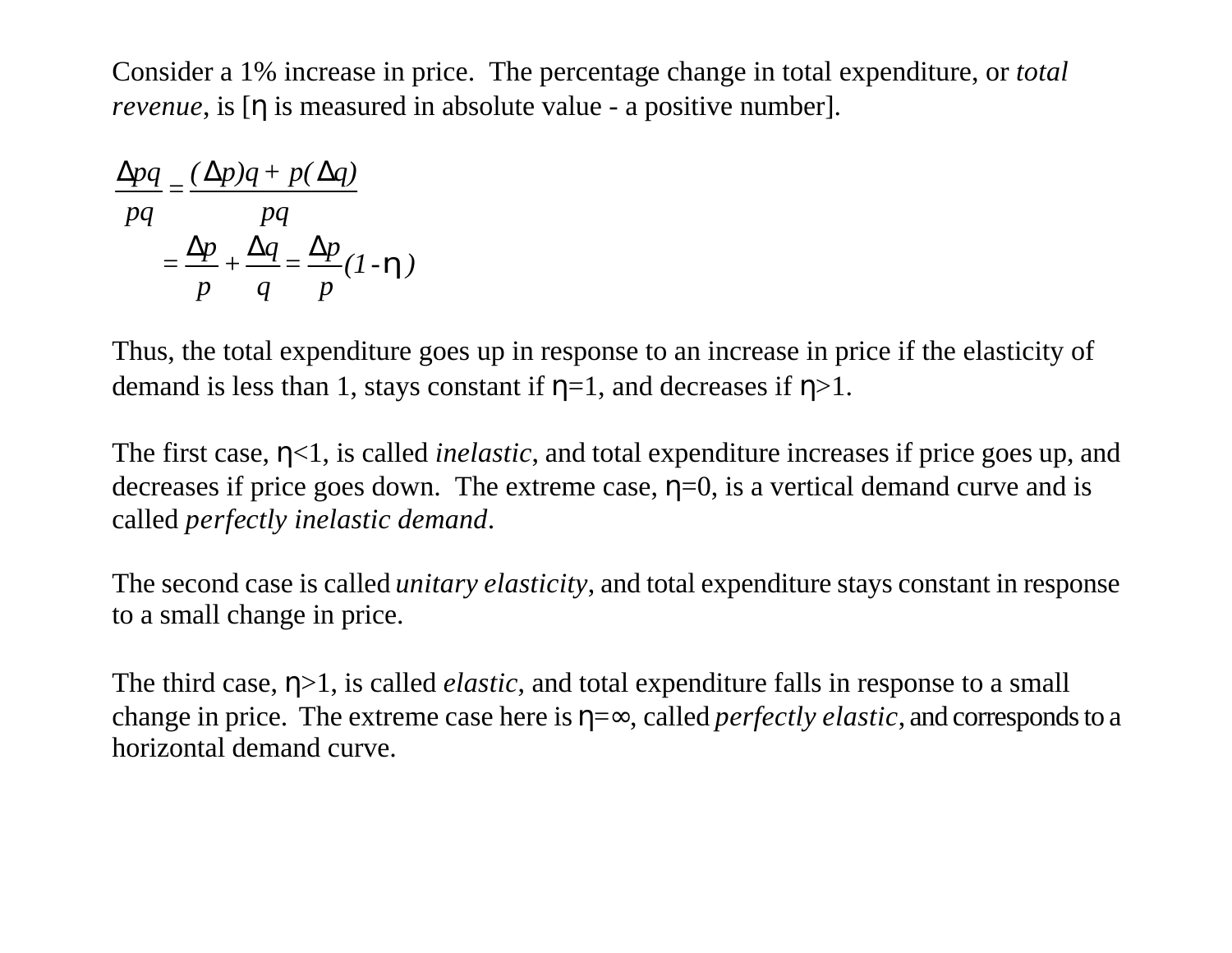Consider a 1% increase in price. The percentage change in total expenditure, or *total revenue*, is [η is measured in absolute value - a positive number].

$$
\frac{\Delta pq}{pq} = \frac{(\Delta p)q + p(\Delta q)}{pq}
$$

$$
= \frac{\Delta p}{p} + \frac{\Delta q}{q} = \frac{\Delta p}{p}(1 - \mathbf{h})
$$

Thus, the total expenditure goes up in response to an increase in price if the elasticity of demand is less than 1, stays constant if  $\eta=1$ , and decreases if  $\eta>1$ .

The first case, η<1, is called *inelastic*, and total expenditure increases if price goes up, and decreases if price goes down. The extreme case,  $\eta=0$ , is a vertical demand curve and is called *perfectly inelastic demand*.

The second case is called *unitary elasticity*, and total expenditure stays constant in response to a small change in price.

The third case, η>1, is called *elastic*, and total expenditure falls in response to a small change in price. The extreme case here is η=∞, called *perfectly elastic*, and corresponds to a horizontal demand curve.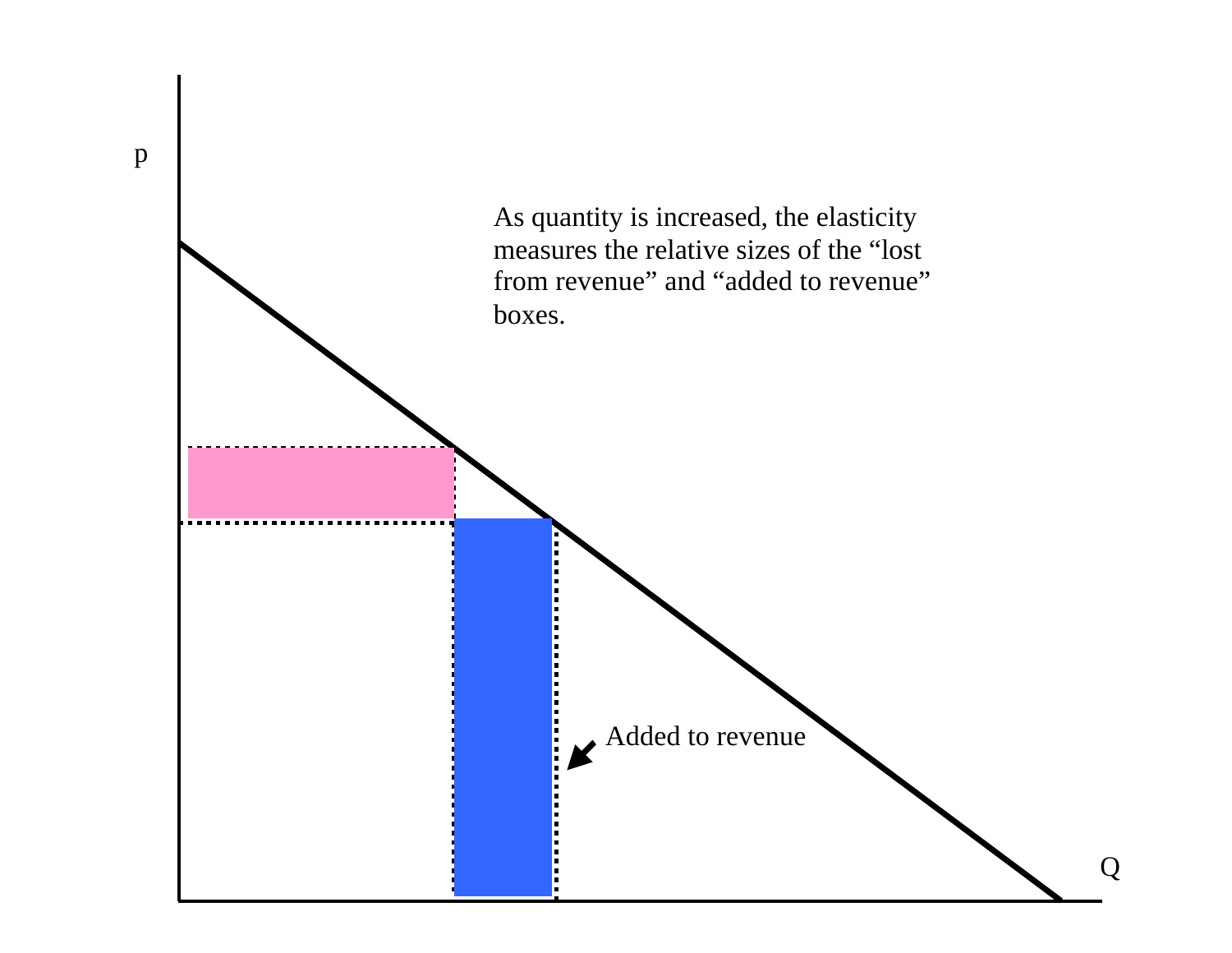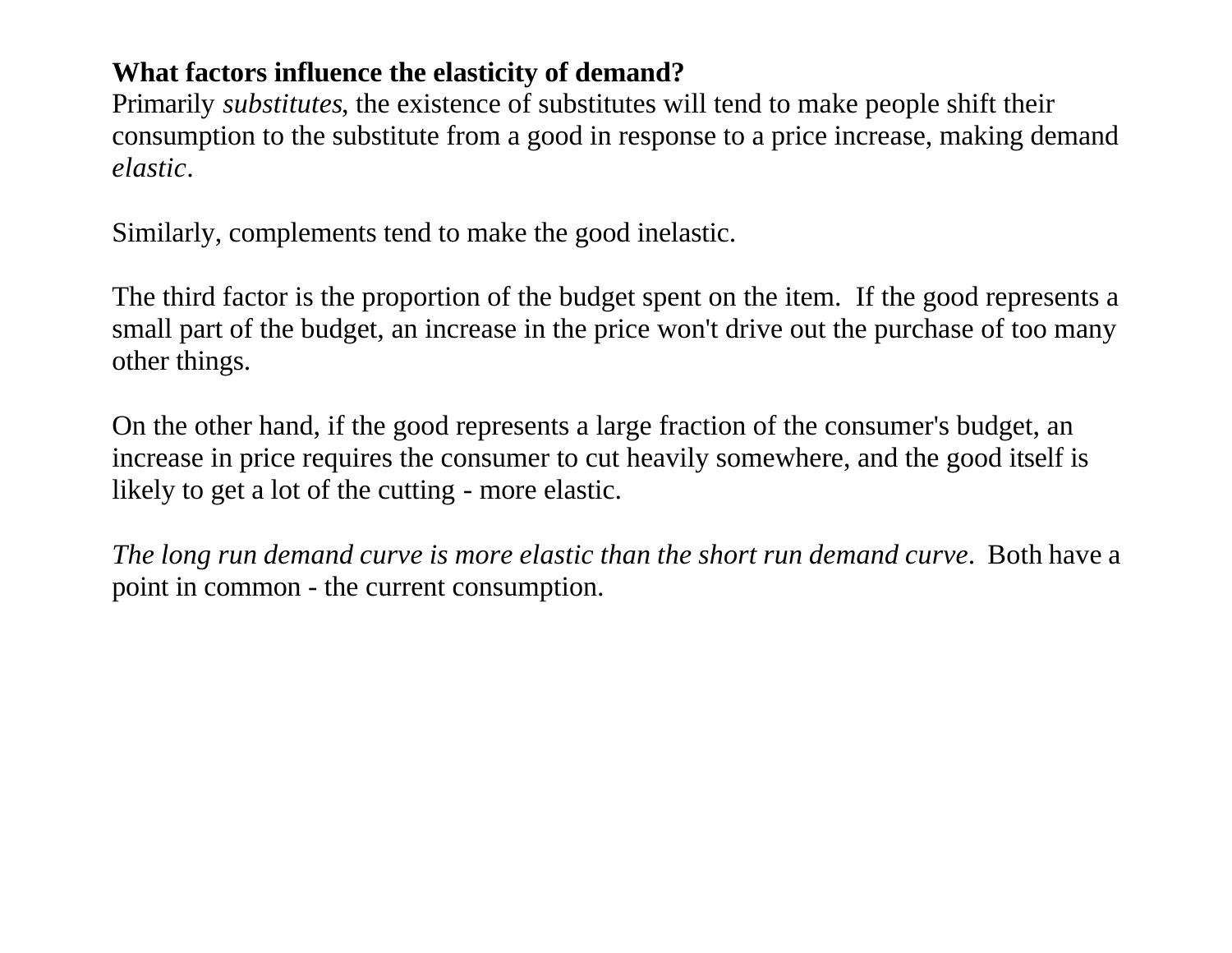### **What factors influence the elasticity of demand?**

Primarily *substitutes*, the existence of substitutes will tend to make people shift their consumption to the substitute from a good in response to a price increase, making demand *elastic*.

Similarly, complements tend to make the good inelastic.

The third factor is the proportion of the budget spent on the item. If the good represents a small part of the budget, an increase in the price won't drive out the purchase of too many other things.

On the other hand, if the good represents a large fraction of the consumer's budget, an increase in price requires the consumer to cut heavily somewhere, and the good itself is likely to get a lot of the cutting - more elastic.

*The long run demand curve is more elastic than the short run demand curve*. Both have a point in common - the current consumption.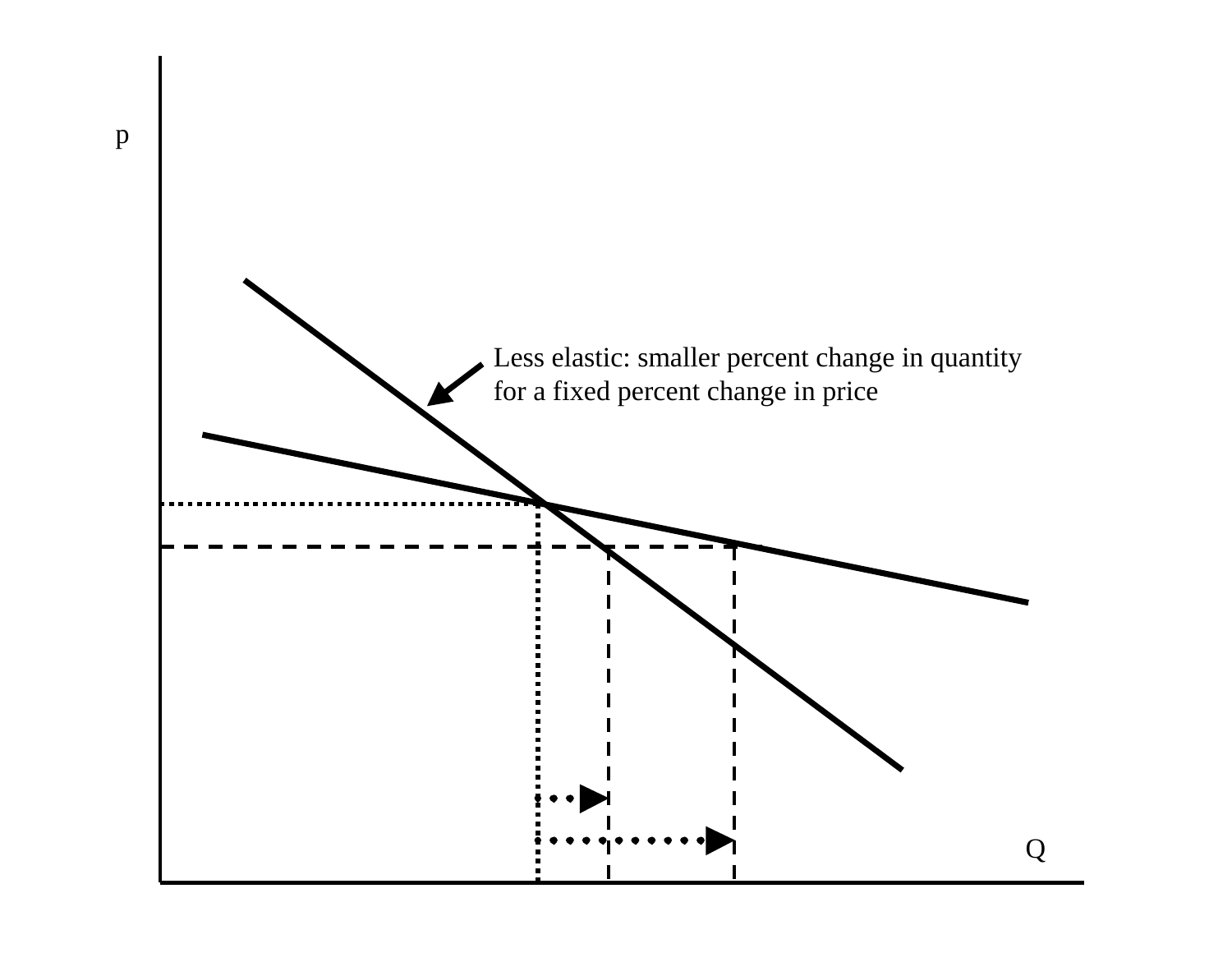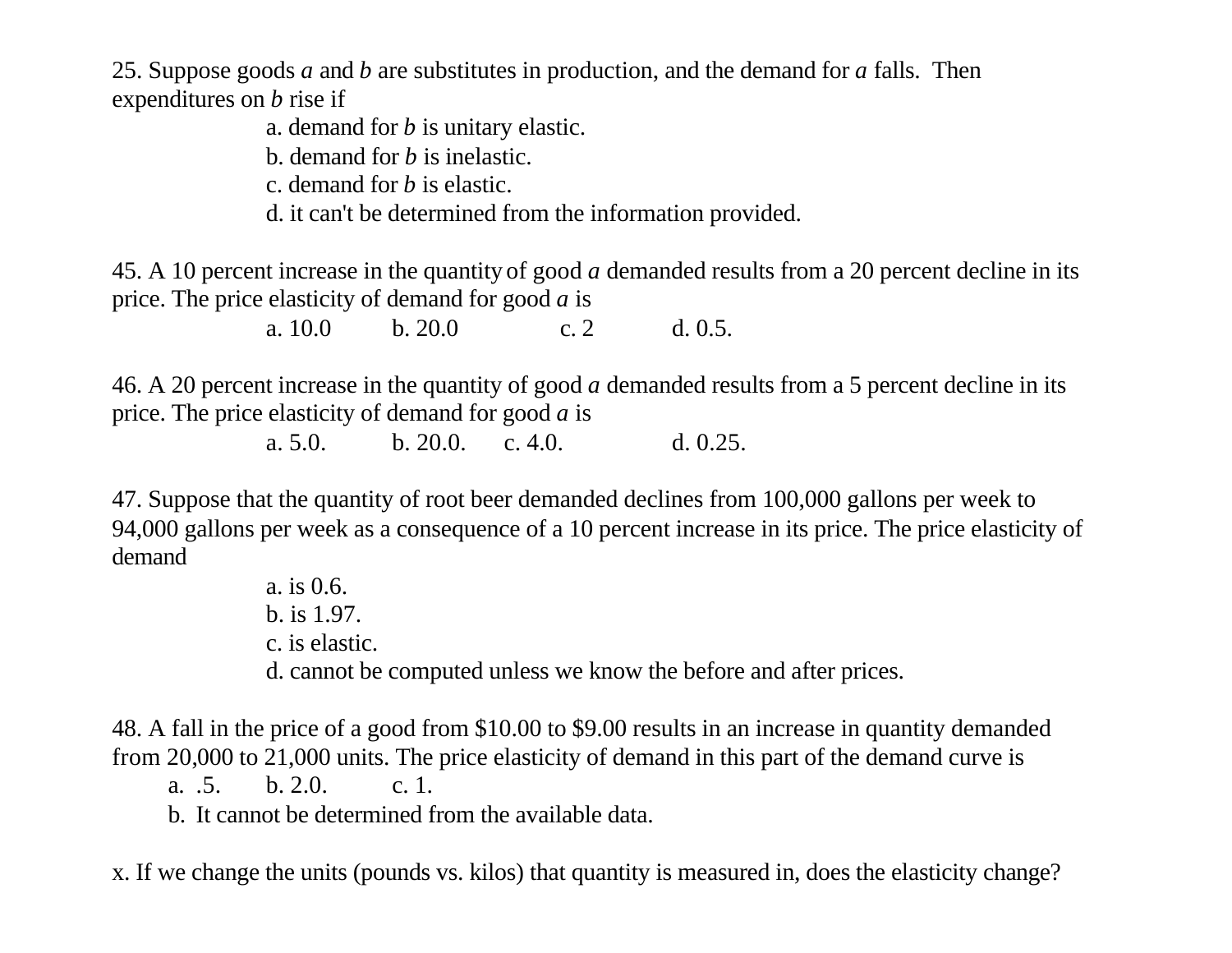25. Suppose goods *a* and *b* are substitutes in production, and the demand for *a* falls. Then expenditures on *b* rise if

a. demand for *b* is unitary elastic.

b. demand for *b* is inelastic.

c. demand for *b* is elastic.

d. it can't be determined from the information provided.

45. A 10 percent increase in the quantity of good *a* demanded results from a 20 percent decline in its price. The price elasticity of demand for good *a* is

a. 10.0 b. 20.0 c. 2 d. 0.5.

46. A 20 percent increase in the quantity of good *a* demanded results from a 5 percent decline in its price. The price elasticity of demand for good *a* is

a. 5.0. b. 20.0. c. 4.0. d. 0.25.

47. Suppose that the quantity of root beer demanded declines from 100,000 gallons per week to 94,000 gallons per week as a consequence of a 10 percent increase in its price. The price elasticity of demand

> a. is 0.6. b. is 1.97. c. is elastic. d. cannot be computed unless we know the before and after prices.

48. A fall in the price of a good from \$10.00 to \$9.00 results in an increase in quantity demanded from 20,000 to 21,000 units. The price elasticity of demand in this part of the demand curve is

a. .5. b. 2.0. c. 1.

b. It cannot be determined from the available data.

x. If we change the units (pounds vs. kilos) that quantity is measured in, does the elasticity change?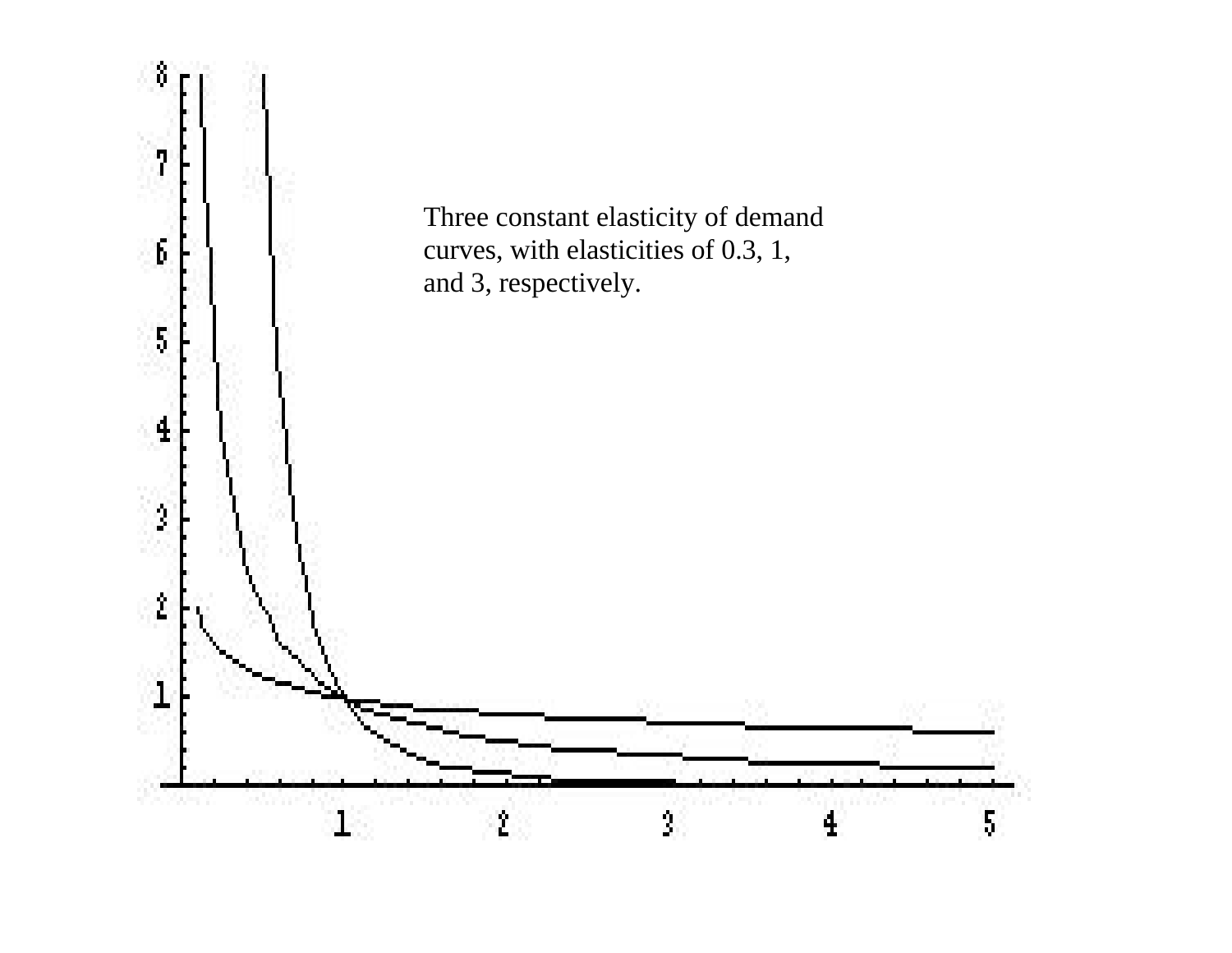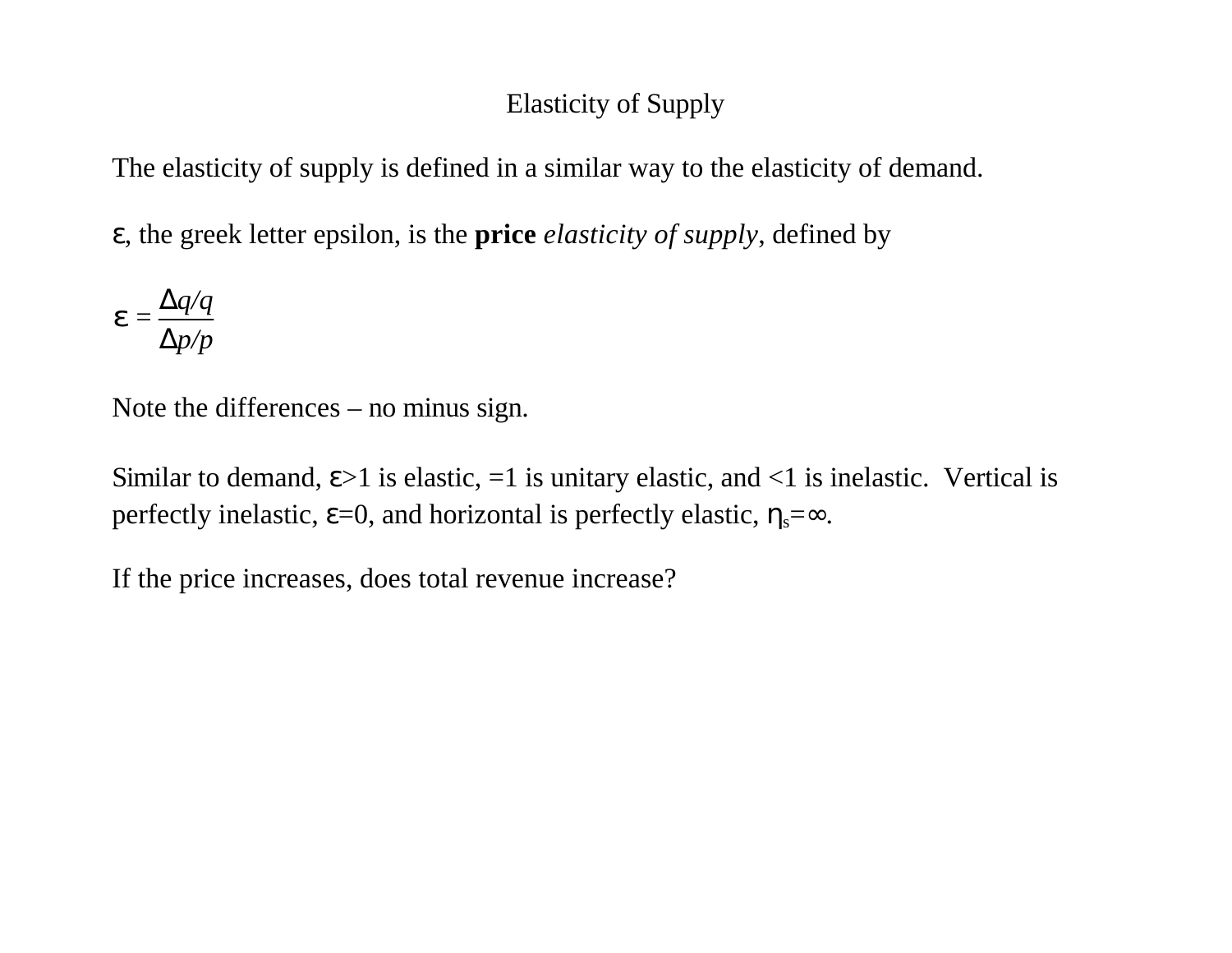### Elasticity of Supply

The elasticity of supply is defined in a similar way to the elasticity of demand.

ε, the greek letter epsilon, is the **price** *elasticity of supply*, defined by

$$
\boldsymbol{e} = \frac{\Delta q/q}{\Delta p/p}
$$

Note the differences – no minus sign.

Similar to demand,  $\varepsilon > 1$  is elastic,  $=1$  is unitary elastic, and  $\langle 1 \rangle$  is inelastic. Vertical is perfectly inelastic,  $\varepsilon$ =0, and horizontal is perfectly elastic,  $\eta_s = \infty$ .

If the price increases, does total revenue increase?